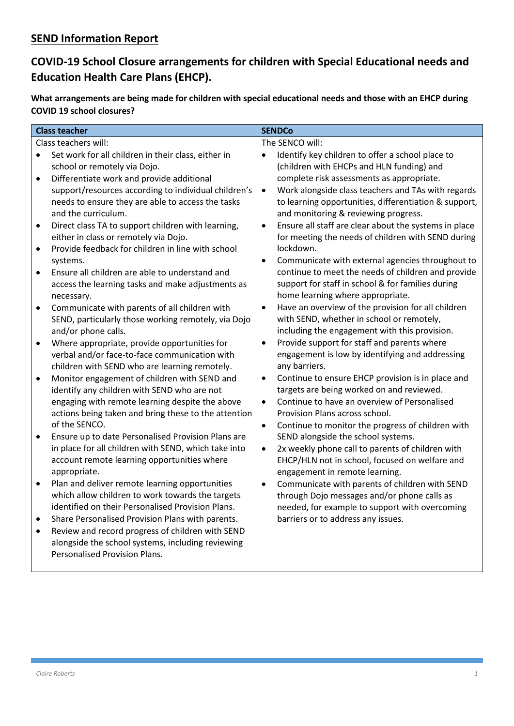# **SEND Information Report**

# **COVID-19 School Closure arrangements for children with Special Educational needs and Education Health Care Plans (EHCP).**

**What arrangements are being made for children with special educational needs and those with an EHCP during COVID 19 school closures?**

| <b>Class teacher</b>                                                                                    | <b>SENDCo</b>                                                                                       |
|---------------------------------------------------------------------------------------------------------|-----------------------------------------------------------------------------------------------------|
| Class teachers will:                                                                                    | The SENCO will:                                                                                     |
| Set work for all children in their class, either in<br>$\bullet$                                        | Identify key children to offer a school place to<br>$\bullet$                                       |
| school or remotely via Dojo.                                                                            | (children with EHCPs and HLN funding) and                                                           |
| Differentiate work and provide additional<br>$\bullet$                                                  | complete risk assessments as appropriate.                                                           |
| support/resources according to individual children's                                                    | Work alongside class teachers and TAs with regards<br>$\bullet$                                     |
| needs to ensure they are able to access the tasks                                                       | to learning opportunities, differentiation & support,                                               |
| and the curriculum.                                                                                     | and monitoring & reviewing progress.                                                                |
| Direct class TA to support children with learning,<br>$\bullet$                                         | Ensure all staff are clear about the systems in place<br>$\bullet$                                  |
| either in class or remotely via Dojo.<br>Provide feedback for children in line with school<br>$\bullet$ | for meeting the needs of children with SEND during<br>lockdown.                                     |
| systems.                                                                                                | $\bullet$<br>Communicate with external agencies throughout to                                       |
| Ensure all children are able to understand and<br>$\bullet$                                             | continue to meet the needs of children and provide                                                  |
| access the learning tasks and make adjustments as                                                       | support for staff in school & for families during                                                   |
| necessary.                                                                                              | home learning where appropriate.                                                                    |
| Communicate with parents of all children with<br>$\bullet$                                              | Have an overview of the provision for all children<br>$\bullet$                                     |
| SEND, particularly those working remotely, via Dojo                                                     | with SEND, whether in school or remotely,                                                           |
| and/or phone calls.                                                                                     | including the engagement with this provision.                                                       |
| Where appropriate, provide opportunities for<br>$\bullet$                                               | Provide support for staff and parents where<br>$\bullet$                                            |
| verbal and/or face-to-face communication with                                                           | engagement is low by identifying and addressing                                                     |
| children with SEND who are learning remotely.                                                           | any barriers.                                                                                       |
| Monitor engagement of children with SEND and<br>$\bullet$                                               | Continue to ensure EHCP provision is in place and<br>$\bullet$                                      |
| identify any children with SEND who are not                                                             | targets are being worked on and reviewed.                                                           |
| engaging with remote learning despite the above                                                         | Continue to have an overview of Personalised<br>$\bullet$                                           |
| actions being taken and bring these to the attention<br>of the SENCO.                                   | Provision Plans across school.                                                                      |
| Ensure up to date Personalised Provision Plans are                                                      | Continue to monitor the progress of children with<br>$\bullet$                                      |
| in place for all children with SEND, which take into                                                    | SEND alongside the school systems.<br>2x weekly phone call to parents of children with<br>$\bullet$ |
| account remote learning opportunities where                                                             | EHCP/HLN not in school, focused on welfare and                                                      |
| appropriate.                                                                                            | engagement in remote learning.                                                                      |
| Plan and deliver remote learning opportunities<br>$\bullet$                                             | Communicate with parents of children with SEND<br>$\bullet$                                         |
| which allow children to work towards the targets                                                        | through Dojo messages and/or phone calls as                                                         |
| identified on their Personalised Provision Plans.                                                       | needed, for example to support with overcoming                                                      |
| Share Personalised Provision Plans with parents.                                                        | barriers or to address any issues.                                                                  |
| Review and record progress of children with SEND<br>$\bullet$                                           |                                                                                                     |
| alongside the school systems, including reviewing                                                       |                                                                                                     |
| <b>Personalised Provision Plans.</b>                                                                    |                                                                                                     |
|                                                                                                         |                                                                                                     |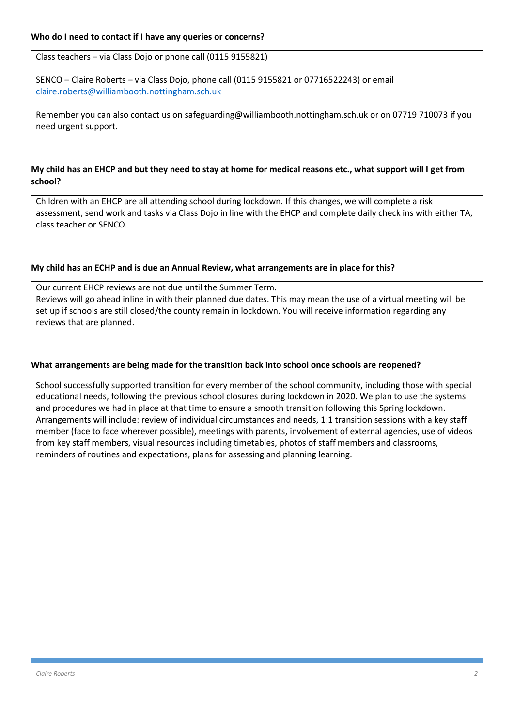Class teachers – via Class Dojo or phone call (0115 9155821)

SENCO – Claire Roberts – via Class Dojo, phone call (0115 9155821 or 07716522243) or email [claire.roberts@williambooth.nottingham.sch.uk](mailto:claire.roberts@williambooth.nottingham.sch.uk)

Remember you can also contact us on safeguarding@williambooth.nottingham.sch.uk or on 07719 710073 if you need urgent support.

## **My child has an EHCP and but they need to stay at home for medical reasons etc., what support will I get from school?**

Children with an EHCP are all attending school during lockdown. If this changes, we will complete a risk assessment, send work and tasks via Class Dojo in line with the EHCP and complete daily check ins with either TA, class teacher or SENCO.

#### **My child has an ECHP and is due an Annual Review, what arrangements are in place for this?**

Our current EHCP reviews are not due until the Summer Term. Reviews will go ahead inline in with their planned due dates. This may mean the use of a virtual meeting will be set up if schools are still closed/the county remain in lockdown. You will receive information regarding any reviews that are planned.

### **What arrangements are being made for the transition back into school once schools are reopened?**

School successfully supported transition for every member of the school community, including those with special educational needs, following the previous school closures during lockdown in 2020. We plan to use the systems and procedures we had in place at that time to ensure a smooth transition following this Spring lockdown. Arrangements will include: review of individual circumstances and needs, 1:1 transition sessions with a key staff member (face to face wherever possible), meetings with parents, involvement of external agencies, use of videos from key staff members, visual resources including timetables, photos of staff members and classrooms, reminders of routines and expectations, plans for assessing and planning learning.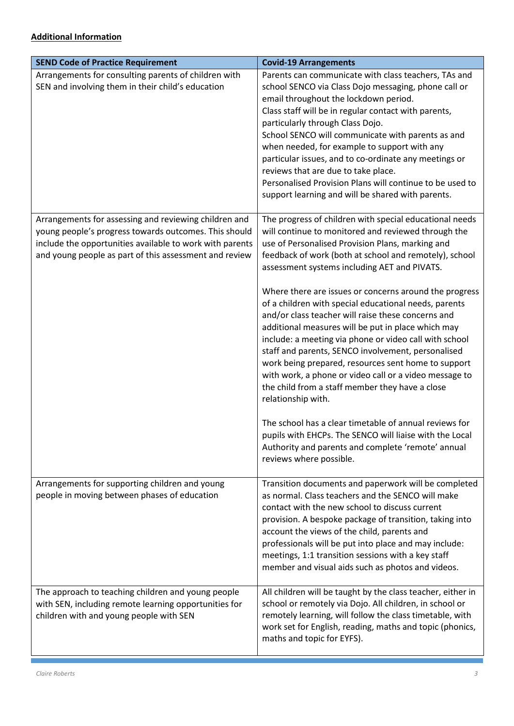| <b>SEND Code of Practice Requirement</b>                                                                                                                                                                                             | <b>Covid-19 Arrangements</b>                                                                                                                                                                                                                                                                                                                                                                                                                                                                                                                                                                                                                                                                                                                |
|--------------------------------------------------------------------------------------------------------------------------------------------------------------------------------------------------------------------------------------|---------------------------------------------------------------------------------------------------------------------------------------------------------------------------------------------------------------------------------------------------------------------------------------------------------------------------------------------------------------------------------------------------------------------------------------------------------------------------------------------------------------------------------------------------------------------------------------------------------------------------------------------------------------------------------------------------------------------------------------------|
| Arrangements for consulting parents of children with<br>SEN and involving them in their child's education                                                                                                                            | Parents can communicate with class teachers, TAs and<br>school SENCO via Class Dojo messaging, phone call or<br>email throughout the lockdown period.<br>Class staff will be in regular contact with parents,<br>particularly through Class Dojo.<br>School SENCO will communicate with parents as and<br>when needed, for example to support with any<br>particular issues, and to co-ordinate any meetings or<br>reviews that are due to take place.<br>Personalised Provision Plans will continue to be used to<br>support learning and will be shared with parents.                                                                                                                                                                     |
| Arrangements for assessing and reviewing children and<br>young people's progress towards outcomes. This should<br>include the opportunities available to work with parents<br>and young people as part of this assessment and review | The progress of children with special educational needs<br>will continue to monitored and reviewed through the<br>use of Personalised Provision Plans, marking and<br>feedback of work (both at school and remotely), school<br>assessment systems including AET and PIVATS.                                                                                                                                                                                                                                                                                                                                                                                                                                                                |
|                                                                                                                                                                                                                                      | Where there are issues or concerns around the progress<br>of a children with special educational needs, parents<br>and/or class teacher will raise these concerns and<br>additional measures will be put in place which may<br>include: a meeting via phone or video call with school<br>staff and parents, SENCO involvement, personalised<br>work being prepared, resources sent home to support<br>with work, a phone or video call or a video message to<br>the child from a staff member they have a close<br>relationship with.<br>The school has a clear timetable of annual reviews for<br>pupils with EHCPs. The SENCO will liaise with the Local<br>Authority and parents and complete 'remote' annual<br>reviews where possible. |
| Arrangements for supporting children and young<br>people in moving between phases of education                                                                                                                                       | Transition documents and paperwork will be completed<br>as normal. Class teachers and the SENCO will make<br>contact with the new school to discuss current<br>provision. A bespoke package of transition, taking into<br>account the views of the child, parents and<br>professionals will be put into place and may include:<br>meetings, 1:1 transition sessions with a key staff<br>member and visual aids such as photos and videos.                                                                                                                                                                                                                                                                                                   |
| The approach to teaching children and young people<br>with SEN, including remote learning opportunities for<br>children with and young people with SEN                                                                               | All children will be taught by the class teacher, either in<br>school or remotely via Dojo. All children, in school or<br>remotely learning, will follow the class timetable, with<br>work set for English, reading, maths and topic (phonics,<br>maths and topic for EYFS).                                                                                                                                                                                                                                                                                                                                                                                                                                                                |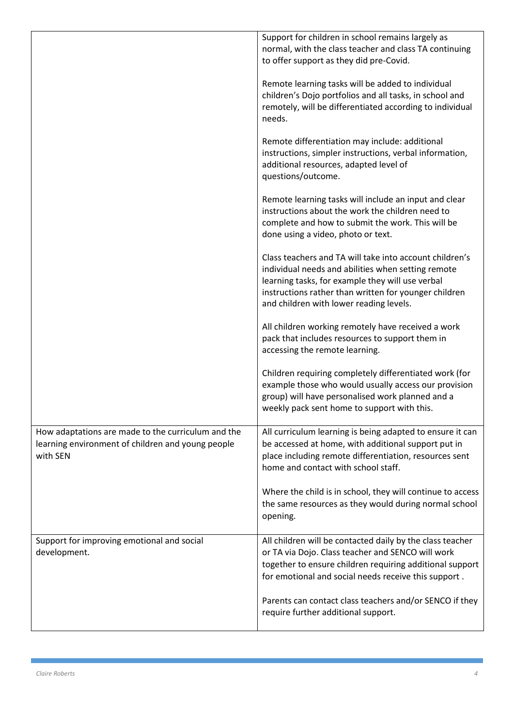|                                                                                                                     | Support for children in school remains largely as<br>normal, with the class teacher and class TA continuing<br>to offer support as they did pre-Covid.                                                                                                                |
|---------------------------------------------------------------------------------------------------------------------|-----------------------------------------------------------------------------------------------------------------------------------------------------------------------------------------------------------------------------------------------------------------------|
|                                                                                                                     | Remote learning tasks will be added to individual<br>children's Dojo portfolios and all tasks, in school and<br>remotely, will be differentiated according to individual<br>needs.                                                                                    |
|                                                                                                                     | Remote differentiation may include: additional<br>instructions, simpler instructions, verbal information,<br>additional resources, adapted level of<br>questions/outcome.                                                                                             |
|                                                                                                                     | Remote learning tasks will include an input and clear<br>instructions about the work the children need to<br>complete and how to submit the work. This will be<br>done using a video, photo or text.                                                                  |
|                                                                                                                     | Class teachers and TA will take into account children's<br>individual needs and abilities when setting remote<br>learning tasks, for example they will use verbal<br>instructions rather than written for younger children<br>and children with lower reading levels. |
|                                                                                                                     | All children working remotely have received a work<br>pack that includes resources to support them in<br>accessing the remote learning.                                                                                                                               |
|                                                                                                                     | Children requiring completely differentiated work (for<br>example those who would usually access our provision<br>group) will have personalised work planned and a<br>weekly pack sent home to support with this.                                                     |
| How adaptations are made to the curriculum and the<br>learning environment of children and young people<br>with SEN | All curriculum learning is being adapted to ensure it can<br>be accessed at home, with additional support put in<br>place including remote differentiation, resources sent<br>home and contact with school staff.                                                     |
|                                                                                                                     | Where the child is in school, they will continue to access<br>the same resources as they would during normal school<br>opening.                                                                                                                                       |
| Support for improving emotional and social<br>development.                                                          | All children will be contacted daily by the class teacher<br>or TA via Dojo. Class teacher and SENCO will work<br>together to ensure children requiring additional support<br>for emotional and social needs receive this support.                                    |
|                                                                                                                     | Parents can contact class teachers and/or SENCO if they<br>require further additional support.                                                                                                                                                                        |